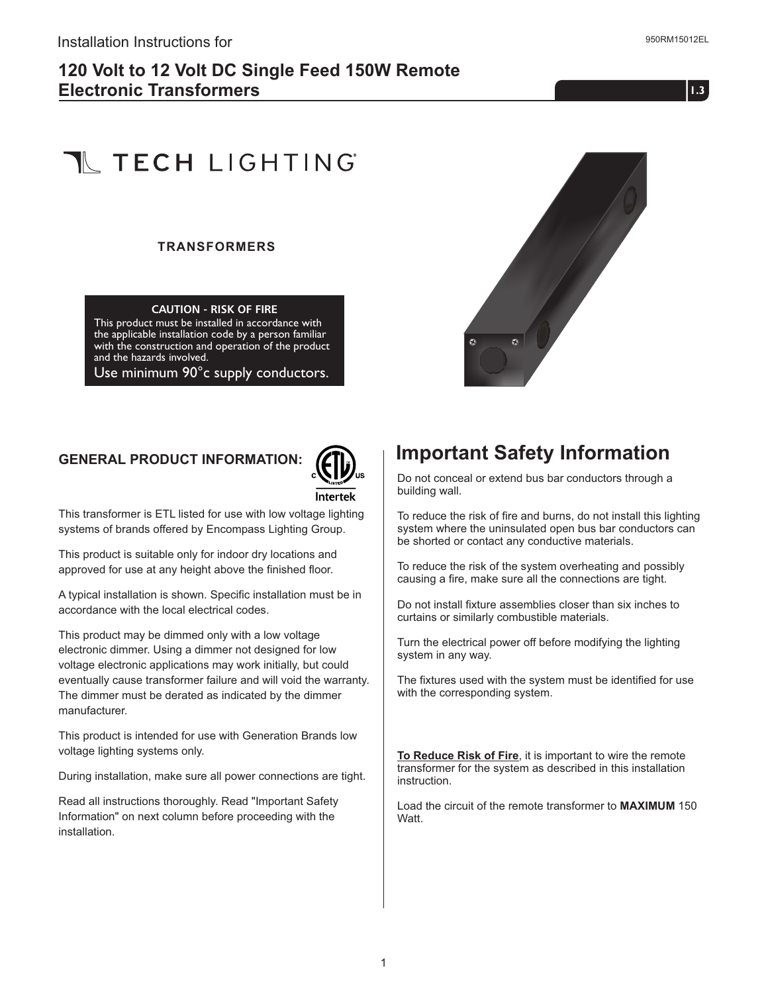## **120 Volt to 12 Volt DC Single Feed 150W Remote Electronic Transformers**

**1.01.3**

# **T** TECH LIGHTING

#### **TRANSFORMERS**

#### **CAUTION - RISK OF FIRE**

This product must be installed in accordance with the applicable installation code by a person familiar with the construction and operation of the product and the hazards involved.

Use minimum 90°c supply conductors.



### **GENERAL PRODUCT INFORMATION:**



This transformer is ETL listed for use with low voltage lighting systems of brands offered by Encompass Lighting Group.

This product is suitable only for indoor dry locations and approved for use at any height above the finished floor.

A typical installation is shown. Specific installation must be in accordance with the local electrical codes.

This product may be dimmed only with a low voltage electronic dimmer. Using a dimmer not designed for low voltage electronic applications may work initially, but could eventually cause transformer failure and will void the warranty. The dimmer must be derated as indicated by the dimmer manufacturer.

This product is intended for use with Generation Brands low voltage lighting systems only.

During installation, make sure all power connections are tight.

Read all instructions thoroughly. Read "Important Safety Information" on next column before proceeding with the installation.

# **Important Safety Information**

Do not conceal or extend bus bar conductors through a building wall.

To reduce the risk of fire and burns, do not install this lighting system where the uninsulated open bus bar conductors can be shorted or contact any conductive materials.

To reduce the risk of the system overheating and possibly causing a fire, make sure all the connections are tight.

Do not install fixture assemblies closer than six inches to curtains or similarly combustible materials.

Turn the electrical power off before modifying the lighting system in any way.

The fixtures used with the system must be identified for use with the corresponding system.

**To Reduce Risk of Fire**, it is important to wire the remote transformer for the system as described in this installation instruction.

Load the circuit of the remote transformer to **MAXIMUM** 150 Watt.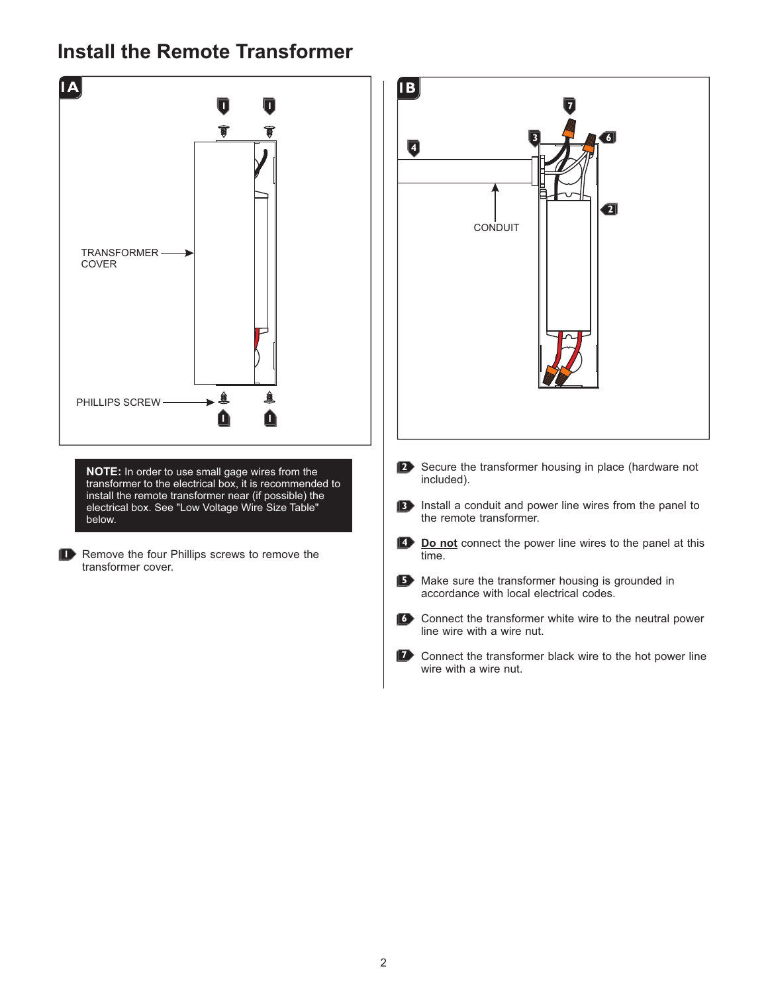# **Install the Remote Transformer**

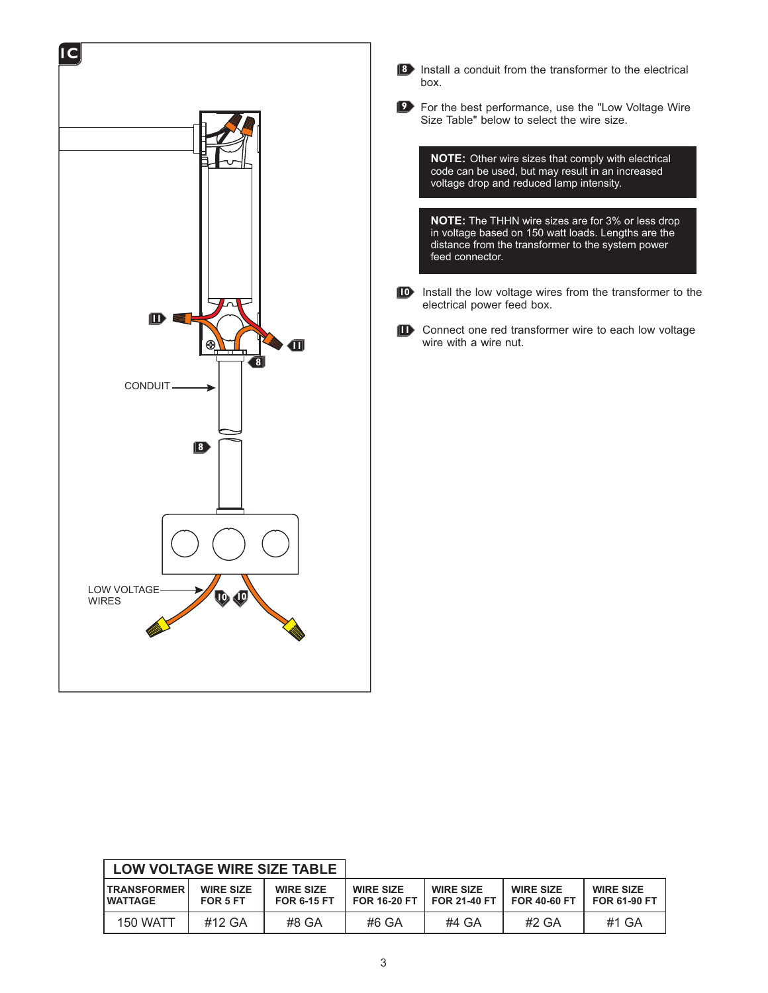



For the best performance, use the "Low Voltage Wire **9** Size Table" below to select the wire size.

**NOTE:** Other wire sizes that comply with electrical code can be used, but may result in an increased voltage drop and reduced lamp intensity.

**NOTE:** The THHN wire sizes are for 3% or less drop in voltage based on 150 watt loads. Lengths are the distance from the transformer to the system power feed connector.

- **ID** Install the low voltage wires from the transformer to the electrical power feed box.
- **n** Connect one red transformer wire to each low voltage wire with a wire nut.

| LOW VOLTAGE WIRE SIZE TABLE      |                              |                                        |                                         |                                         |                                         |                                         |
|----------------------------------|------------------------------|----------------------------------------|-----------------------------------------|-----------------------------------------|-----------------------------------------|-----------------------------------------|
| <b>ITRANSFORMER</b><br>I WATTAGE | <b>WIRE SIZE</b><br>FOR 5 FT | <b>WIRE SIZE</b><br><b>FOR 6-15 FT</b> | <b>WIRE SIZE</b><br><b>FOR 16-20 FT</b> | <b>WIRE SIZE</b><br><b>FOR 21-40 FT</b> | <b>WIRE SIZE</b><br><b>FOR 40-60 FT</b> | <b>WIRE SIZE</b><br><b>FOR 61-90 FT</b> |
| <b>150 WATT</b>                  | #12 GA                       | #8 GA                                  | #6 GA                                   | #4 GA                                   | #2 GA                                   | #1 GA                                   |